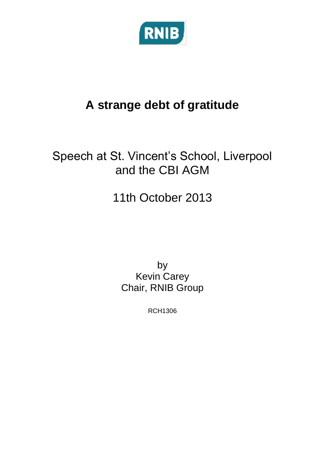

## **A strange debt of gratitude**

## Speech at St. Vincent's School, Liverpool and the CBI AGM

## 11th October 2013

by Kevin Carey Chair, RNIB Group

RCH1306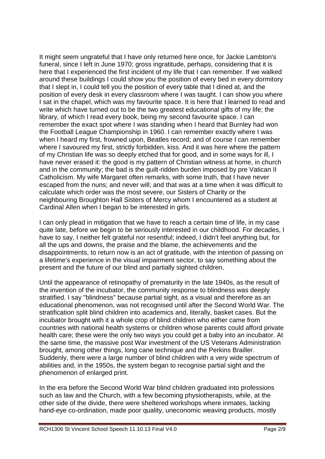It might seem ungrateful that I have only returned here once, for Jackie Lambton's funeral, since I left in June 1970; gross ingratitude, perhaps, considering that it is here that I experienced the first incident of my life that I can remember. If we walked around these buildings I could show you the position of every bed in every dormitory that I slept in, I could tell you the position of every table that I dined at, and the position of every desk in every classroom where I was taught. I can show you where I sat in the chapel, which was my favourite space. It is here that I learned to read and write which have turned out to be the two greatest educational gifts of my life; the library, of which I read every book, being my second favourite space. I can remember the exact spot where I was standing when I heard that Burnley had won the Football League Championship in 1960. I can remember exactly where I was when I heard my first, frowned upon, Beatles record; and of course I can remember where I savoured my first, strictly forbidden, kiss. And it was here where the pattern of my Christian life was so deeply etched that for good, and in some ways for ill, I have never erased it: the good is my pattern of Christian witness at home, in church and in the community; the bad is the guilt-ridden burden imposed by pre Vatican II Catholicism. My wife Margaret often remarks, with some truth, that I have never escaped from the nuns; and never will; and that was at a time when it was difficult to calculate which order was the most severe, our Sisters of Charity or the neighbouring Broughton Hall Sisters of Mercy whom I encountered as a student at Cardinal Allen when I began to be interested in girls.

I can only plead in mitigation that we have to reach a certain time of life, in my case quite late, before we begin to be seriously interested in our childhood. For decades, I have to say, I neither felt grateful nor resentful; indeed, I didn't feel anything but, for all the ups and downs, the praise and the blame, the achievements and the disappointments, to return now is an act of gratitude, with the intention of passing on a lifetime's experience in the visual impairment sector, to say something about the present and the future of our blind and partially sighted children.

Until the appearance of retinopathy of prematurity in the late 1940s, as the result of the invention of the incubator, the community response to blindness was deeply stratified. I say "blindness" because partial sight, as a visual and therefore as an educational phenomenon, was not recognised until after the Second World War. The stratification split blind children into academics and, literally, basket cases. But the incubator brought with it a whole crop of blind children who either came from countries with national health systems or children whose parents could afford private health care; these were the only two ways you could get a baby into an incubator. At the same time, the massive post War investment of the US Veterans Administration brought, among other things, long cane technique and the Perkins Brailler. Suddenly, there were a large number of blind children with a very wide spectrum of abilities and, in the 1950s, the system began to recognise partial sight and the phenomenon of enlarged print.

In the era before the Second World War blind children graduated into professions such as law and the Church, with a few becoming physiotherapists, while, at the other side of the divide, there were sheltered workshops where inmates, lacking hand-eye co-ordination, made poor quality, uneconomic weaving products, mostly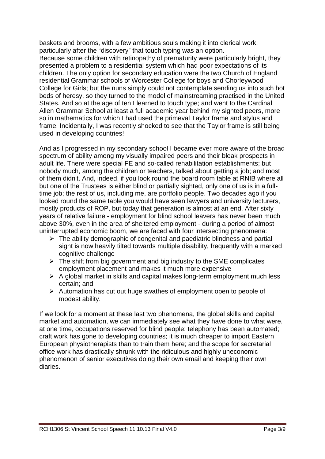baskets and brooms, with a few ambitious souls making it into clerical work, particularly after the "discovery" that touch typing was an option. Because some children with retinopathy of prematurity were particularly bright, they presented a problem to a residential system which had poor expectations of its children. The only option for secondary education were the two Church of England residential Grammar schools of Worcester College for boys and Chorleywood College for Girls; but the nuns simply could not contemplate sending us into such hot beds of heresy, so they turned to the model of mainstreaming practised in the United States. And so at the age of ten I learned to touch type; and went to the Cardinal Allen Grammar School at least a full academic year behind my sighted peers, more so in mathematics for which I had used the primeval Taylor frame and stylus and frame. Incidentally, I was recently shocked to see that the Taylor frame is still being used in developing countries!

And as I progressed in my secondary school I became ever more aware of the broad spectrum of ability among my visually impaired peers and their bleak prospects in adult life. There were special FE and so-called rehabilitation establishments; but nobody much, among the children or teachers, talked about getting a job; and most of them didn't. And, indeed, if you look round the board room table at RNIB where all but one of the Trustees is either blind or partially sighted, only one of us is in a fulltime job; the rest of us, including me, are portfolio people. Two decades ago if you looked round the same table you would have seen lawyers and university lecturers, mostly products of ROP, but today that generation is almost at an end. After sixty years of relative failure - employment for blind school leavers has never been much above 30%, even in the area of sheltered employment - during a period of almost uninterrupted economic boom, we are faced with four intersecting phenomena:

- $\triangleright$  The ability demographic of congenital and paediatric blindness and partial sight is now heavily tilted towards multiple disability, frequently with a marked cognitive challenge
- $\triangleright$  The shift from big government and big industry to the SME complicates employment placement and makes it much more expensive
- $\triangleright$  A global market in skills and capital makes long-term employment much less certain; and
- $\triangleright$  Automation has cut out huge swathes of employment open to people of modest ability.

If we look for a moment at these last two phenomena, the global skills and capital market and automation, we can immediately see what they have done to what were, at one time, occupations reserved for blind people: telephony has been automated; craft work has gone to developing countries; it is much cheaper to import Eastern European physiotherapists than to train them here; and the scope for secretarial office work has drastically shrunk with the ridiculous and highly uneconomic phenomenon of senior executives doing their own email and keeping their own diaries.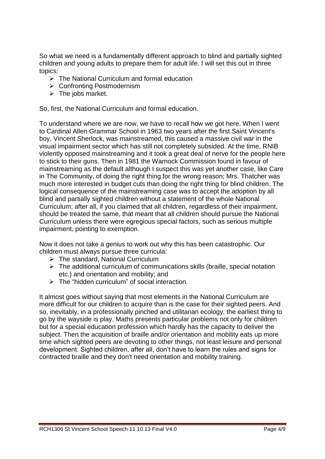So what we need is a fundamentally different approach to blind and partially sighted children and young adults to prepare them for adult life. I will set this out in three topics:

- $\triangleright$  The National Curriculum and formal education
- Confronting Postmodernism
- $\triangleright$  The jobs market.

So, first, the National Curriculum and formal education.

To understand where we are now, we have to recall how we got here. When I went to Cardinal Allen Grammar School in 1963 two years after the first Saint Vincent's boy, Vincent Sherlock, was mainstreamed, this caused a massive civil war in the visual impairment sector which has still not completely subsided. At the time, RNIB violently opposed mainstreaming and it took a great deal of nerve for the people here to stick to their guns. Then in 1981 the Warnock Commission found in favour of mainstreaming as the default although I suspect this was yet another case, like Care in The Community, of doing the right thing for the wrong reason; Mrs. Thatcher was much more interested in budget cuts than doing the right thing for blind children. The logical consequence of the mainstreaming case was to accept the adoption by all blind and partially sighted children without a statement of the whole National Curriculum; after all, if you claimed that all children, regardless of their impairment, should be treated the same, that meant that all children should pursue the National Curriculum unless there were egregious special factors, such as serious multiple impairment, pointing to exemption.

Now it does not take a genius to work out why this has been catastrophic. Our children must always pursue three curricula:

- $\triangleright$  The standard, National Curriculum
- $\triangleright$  The additional curriculum of communications skills (braille, special notation etc.) and orientation and mobility; and
- $\triangleright$  The "hidden curriculum" of social interaction.

It almost goes without saying that most elements in the National Curriculum are more difficult for our children to acquire than is the case for their sighted peers. And so, inevitably, in a professionally pinched and utilitarian ecology, the earliest thing to go by the wayside is play. Maths presents particular problems not only for children but for a special education profession which hardly has the capacity to deliver the subject. Then the acquisition of braille and/or orientation and mobility eats up more time which sighted peers are devoting to other things, not least leisure and personal development. Sighted children, after all, don't have to learn the rules and signs for contracted braille and they don't need orientation and mobility training.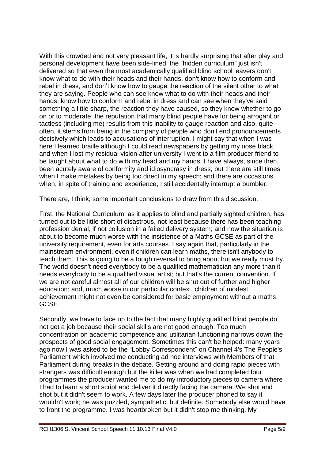With this crowded and not very pleasant life, it is hardly surprising that after play and personal development have been side-lined, the "hidden curriculum" just isn't delivered so that even the most academically qualified blind school leavers don't know what to do with their heads and their hands, don't know how to conform and rebel in dress, and don't know how to gauge the reaction of the silent other to what they are saying. People who can see know what to do with their heads and their hands, know how to conform and rebel in dress and can see when they've said something a little sharp, the reaction they have caused, so they know whether to go on or to moderate; the reputation that many blind people have for being arrogant or tactless (including me) results from this inability to gauge reaction and also, quite often, it stems from being in the company of people who don't end pronouncements decisively which leads to accusations of interruption. I might say that when I was here I learned braille although I could read newspapers by getting my nose black, and when I lost my residual vision after university I went to a film producer friend to be taught about what to do with my head and my hands. I have always, since then, been acutely aware of conformity and idiosyncrasy in dress; but there are still times when I make mistakes by being too direct in my speech; and there are occasions when, in spite of training and experience, I still accidentally interrupt a bumbler.

There are, I think, some important conclusions to draw from this discussion:

First, the National Curriculum, as it applies to blind and partially sighted children, has turned out to be little short of disastrous, not least because there has been teaching profession denial, if not collusion in a failed delivery system; and now the situation is about to become much worse with the insistence of a Maths GCSE as part of the university requirement, even for arts courses. I say again that, particularly in the mainstream environment, even if children can learn maths, there isn't anybody to teach them. This is going to be a tough reversal to bring about but we really must try. The world doesn't need everybody to be a qualified mathematician any more than it needs everybody to be a qualified visual artist; but that's the current convention. If we are not careful almost all of our children will be shut out of further and higher education; and, much worse in our particular context, children of modest achievement might not even be considered for basic employment without a maths GCSE.

Secondly, we have to face up to the fact that many highly qualified blind people do not get a job because their social skills are not good enough. Too much concentration on academic competence and utilitarian functioning narrows down the prospects of good social engagement. Sometimes this can't be helped: many years ago now I was asked to be the "Lobby Correspondent" on Channel 4's The People's Parliament which involved me conducting ad hoc interviews with Members of that Parliament during breaks in the debate. Getting around and doing rapid pieces with strangers was difficult enough but the killer was when we had completed four programmes the producer wanted me to do my introductory pieces to camera where I had to learn a short script and deliver it directly facing the camera. We shot and shot but it didn't seem to work. A few days later the producer phoned to say it wouldn't work; he was puzzled, sympathetic, but definite. Somebody else would have to front the programme. I was heartbroken but it didn't stop me thinking. My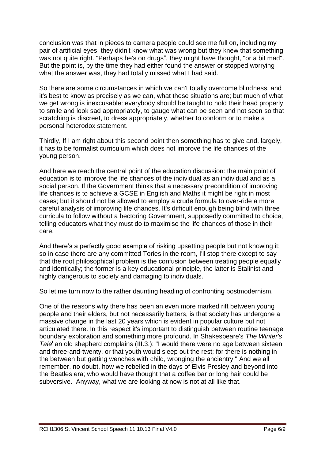conclusion was that in pieces to camera people could see me full on, including my pair of artificial eyes; they didn't know what was wrong but they knew that something was not quite right. "Perhaps he's on drugs", they might have thought, "or a bit mad". But the point is, by the time they had either found the answer or stopped worrying what the answer was, they had totally missed what I had said.

So there are some circumstances in which we can't totally overcome blindness, and it's best to know as precisely as we can, what these situations are; but much of what we get wrong is inexcusable: everybody should be taught to hold their head properly, to smile and look sad appropriately, to gauge what can be seen and not seen so that scratching is discreet, to dress appropriately, whether to conform or to make a personal heterodox statement.

Thirdly, If I am right about this second point then something has to give and, largely, it has to be formalist curriculum which does not improve the life chances of the young person.

And here we reach the central point of the education discussion: the main point of education is to improve the life chances of the individual as an individual and as a social person. If the Government thinks that a necessary precondition of improving life chances is to achieve a GCSE in English and Maths it might be right in most cases; but it should not be allowed to employ a crude formula to over-ride a more careful analysis of improving life chances. It's difficult enough being blind with three curricula to follow without a hectoring Government, supposedly committed to choice, telling educators what they must do to maximise the life chances of those in their care.

And there's a perfectly good example of risking upsetting people but not knowing it; so in case there are any committed Tories in the room, I'll stop there except to say that the root philosophical problem is the confusion between treating people equally and identically; the former is a key educational principle, the latter is Stalinist and highly dangerous to society and damaging to individuals.

So let me turn now to the rather daunting heading of confronting postmodernism.

One of the reasons why there has been an even more marked rift between young people and their elders, but not necessarily betters, is that society has undergone a massive change in the last 20 years which is evident in popular culture but not articulated there. In this respect it's important to distinguish between routine teenage boundary exploration and something more profound. In Shakespeare's *The Winter's*  Tale<sup>i</sup> an old shepherd complains (III.3.): "I would there were no age between sixteen and three-and-twenty, or that youth would sleep out the rest; for there is nothing in the between but getting wenches with child, wronging the ancientry." And we all remember, no doubt, how we rebelled in the days of Elvis Presley and beyond into the Beatles era; who would have thought that a coffee bar or long hair could be subversive. Anyway, what we are looking at now is not at all like that.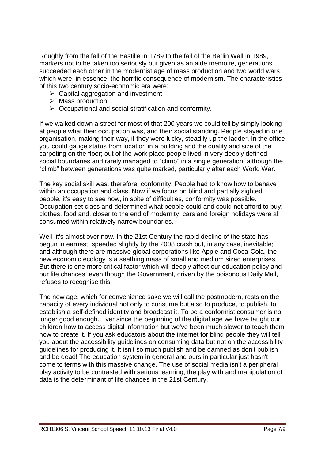Roughly from the fall of the Bastille in 1789 to the fall of the Berlin Wall in 1989, markers not to be taken too seriously but given as an aide memoire, generations succeeded each other in the modernist age of mass production and two world wars which were, in essence, the horrific consequence of modernism. The characteristics of this two century socio-economic era were:

- $\triangleright$  Capital aggregation and investment
- $\triangleright$  Mass production
- $\triangleright$  Occupational and social stratification and conformity.

If we walked down a street for most of that 200 years we could tell by simply looking at people what their occupation was, and their social standing. People stayed in one organisation, making their way, if they were lucky, steadily up the ladder. In the office you could gauge status from location in a building and the quality and size of the carpeting on the floor; out of the work place people lived in very deeply defined social boundaries and rarely managed to "climb" in a single generation, although the "climb" between generations was quite marked, particularly after each World War.

The key social skill was, therefore, conformity. People had to know how to behave within an occupation and class. Now if we focus on blind and partially sighted people, it's easy to see how, in spite of difficulties, conformity was possible. Occupation set class and determined what people could and could not afford to buy: clothes, food and, closer to the end of modernity, cars and foreign holidays were all consumed within relatively narrow boundaries.

Well, it's almost over now. In the 21st Century the rapid decline of the state has begun in earnest, speeded slightly by the 2008 crash but, in any case, inevitable; and although there are massive global corporations like Apple and Coca-Cola, the new economic ecology is a seething mass of small and medium sized enterprises. But there is one more critical factor which will deeply affect our education policy and our life chances, even though the Government, driven by the poisonous Daily Mail, refuses to recognise this.

The new age, which for convenience sake we will call the postmodern, rests on the capacity of every individual not only to consume but also to produce, to publish, to establish a self-defined identity and broadcast it. To be a conformist consumer is no longer good enough. Ever since the beginning of the digital age we have taught our children how to access digital information but we've been much slower to teach them how to create it. If you ask educators about the internet for blind people they will tell you about the accessibility guidelines on consuming data but not on the accessibility guidelines for producing it. It isn't so much publish and be damned as don't publish and be dead! The education system in general and ours in particular just hasn't come to terms with this massive change. The use of social media isn't a peripheral play activity to be contrasted with serious learning; the play with and manipulation of data is the determinant of life chances in the 21st Century.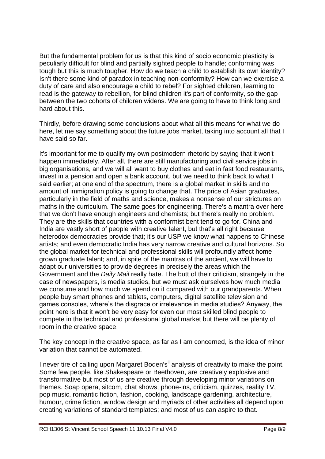But the fundamental problem for us is that this kind of socio economic plasticity is peculiarly difficult for blind and partially sighted people to handle; conforming was tough but this is much tougher. How do we teach a child to establish its own identity? Isn't there some kind of paradox in teaching non-conformity? How can we exercise a duty of care and also encourage a child to rebel? For sighted children, learning to read is the gateway to rebellion, for blind children it's part of conformity, so the gap between the two cohorts of children widens. We are going to have to think long and hard about this.

Thirdly, before drawing some conclusions about what all this means for what we do here, let me say something about the future jobs market, taking into account all that I have said so far.

It's important for me to qualify my own postmodern rhetoric by saying that it won't happen immediately. After all, there are still manufacturing and civil service jobs in big organisations, and we will all want to buy clothes and eat in fast food restaurants, invest in a pension and open a bank account, but we need to think back to what I said earlier; at one end of the spectrum, there is a global market in skills and no amount of immigration policy is going to change that. The price of Asian graduates, particularly in the field of maths and science, makes a nonsense of our strictures on maths in the curriculum. The same goes for engineering. There's a mantra over here that we don't have enough engineers and chemists; but there's really no problem. They are the skills that countries with a conformist bent tend to go for. China and India are vastly short of people with creative talent, but that's all right because heterodox democracies provide that; it's our USP we know what happens to Chinese artists; and even democratic India has very narrow creative and cultural horizons. So the global market for technical and professional skills will profoundly affect home grown graduate talent; and, in spite of the mantras of the ancient, we will have to adapt our universities to provide degrees in precisely the areas which the Government and the *Daily Mail* really hate. The butt of their criticism, strangely in the case of newspapers, is media studies, but we must ask ourselves how much media we consume and how much we spend on it compared with our grandparents. When people buy smart phones and tablets, computers, digital satellite television and games consoles, where's the disgrace or irrelevance in media studies? Anyway, the point here is that it won't be very easy for even our most skilled blind people to compete in the technical and professional global market but there will be plenty of room in the creative space.

The key concept in the creative space, as far as I am concerned, is the idea of minor variation that cannot be automated.

I never tire of calling upon Margaret Boden's<sup>ii</sup> analysis of creativity to make the point. Some few people, like Shakespeare or Beethoven, are creatively explosive and transformative but most of us are creative through developing minor variations on themes. Soap opera, sitcom, chat shows, phone-ins, criticism, quizzes, reality TV, pop music, romantic fiction, fashion, cooking, landscape gardening, architecture, humour, crime fiction, window design and myriads of other activities all depend upon creating variations of standard templates; and most of us can aspire to that.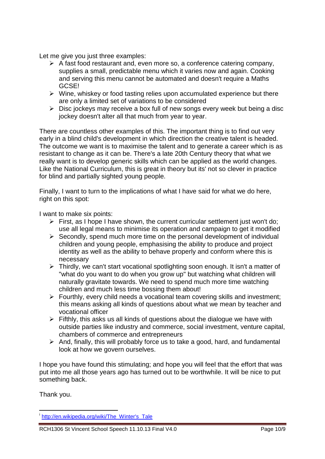Let me give you just three examples:

- $\triangleright$  A fast food restaurant and, even more so, a conference catering company, supplies a small, predictable menu which it varies now and again. Cooking and serving this menu cannot be automated and doesn't require a Maths GCSE!
- $\triangleright$  Wine, whiskey or food tasting relies upon accumulated experience but there are only a limited set of variations to be considered
- $\triangleright$  Disc jockeys may receive a box full of new songs every week but being a disc jockey doesn't alter all that much from year to year.

There are countless other examples of this. The important thing is to find out very early in a blind child's development in which direction the creative talent is headed. The outcome we want is to maximise the talent and to generate a career which is as resistant to change as it can be. There's a late 20th Century theory that what we really want is to develop generic skills which can be applied as the world changes. Like the National Curriculum, this is great in theory but its' not so clever in practice for blind and partially sighted young people.

Finally, I want to turn to the implications of what I have said for what we do here, right on this spot:

I want to make six points:

- $\triangleright$  First, as I hope I have shown, the current curricular settlement just won't do: use all legal means to minimise its operation and campaign to get it modified
- $\triangleright$  Secondly, spend much more time on the personal development of individual children and young people, emphasising the ability to produce and project identity as well as the ability to behave properly and conform where this is necessary
- $\triangleright$  Thirdly, we can't start vocational spotlighting soon enough. It isn't a matter of "what do you want to do when you grow up" but watching what children will naturally gravitate towards. We need to spend much more time watching children and much less time bossing them about!
- $\triangleright$  Fourthly, every child needs a vocational team covering skills and investment; this means asking all kinds of questions about what we mean by teacher and vocational officer
- $\triangleright$  Fifthly, this asks us all kinds of questions about the dialogue we have with outside parties like industry and commerce, social investment, venture capital, chambers of commerce and entrepreneurs
- $\triangleright$  And, finally, this will probably force us to take a good, hard, and fundamental look at how we govern ourselves.

I hope you have found this stimulating; and hope you will feel that the effort that was put into me all those years ago has turned out to be worthwhile. It will be nice to put something back.

Thank you.

<sup>1</sup> <sup>i</sup>[http://en.wikipedia.org/wiki/The\\_Winter's\\_Tale](http://en.wikipedia.org/wiki/The_Winter)